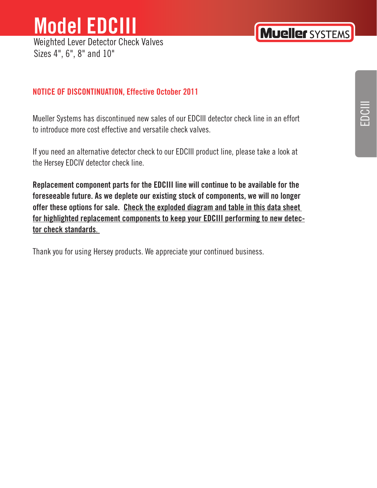## **Model EDCIII**  Weighted Lever Detector Check Valves

Sizes 4", 6", 8" and 10"

## **Mueller SYSTEMS**

# EDCIII

#### **NOTICE OF DISCONTINUATION, Effective October 2011**

Mueller Systems has discontinued new sales of our EDCIII detector check line in an effort to introduce more cost effective and versatile check valves.

If you need an alternative detector check to our EDCIII product line, please take a look at the Hersey EDCIV detector check line.

**Replacement component parts for the EDCIII line will continue to be available for the foreseeable future. As we deplete our existing stock of components, we will no longer offer these options for sale. Check the exploded diagram and table in this data sheet for highlighted replacement components to keep your EDCIII performing to new detector check standards**.

Thank you for using Hersey products. We appreciate your continued business.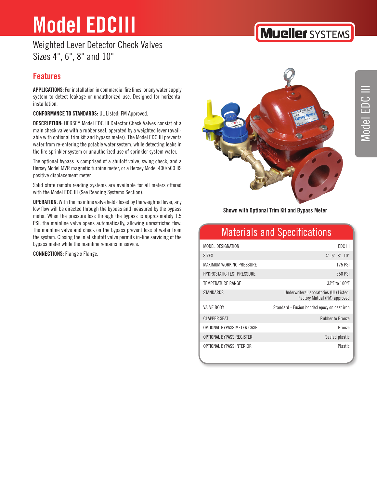Weighted Lever Detector Check Valves Sizes 4", 6", 8" and 10"

#### **Features**

**APPLICATIONS:** For installation in commercial fire lines, or any water supply system to detect leakage or unauthorized use. Designed for horizontal installation.

**CONFORMANCE TO STANDARDS:** UL Listed; FM Approved.

**DESCRIPTION:** HERSEY Model EDC III Detector Check Valves consist of a main check valve with a rubber seal, operated by a weighted lever (available with optional trim kit and bypass meter). The Model EDC III prevents water from re-entering the potable water system, while detecting leaks in the fire sprinkler system or unauthorized use of sprinkler system water.

The optional bypass is comprised of a shutoff valve, swing check, and a Hersey Model MVR magnetic turbine meter, or a Hersey Model 400/500 IIS positive displacement meter.

Solid state remote reading systems are available for all meters offered with the Model EDC III (See Reading Systems Section).

**OPERATION:** With the mainline valve held closed by the weighted lever, any low flow will be directed through the bypass and measured by the bypass meter. When the pressure loss through the bypass is approximately 1.5 PSI, the mainline valve opens automatically, allowing unrestricted flow. The mainline valve and check on the bypass prevent loss of water from the system. Closing the inlet shutoff valve permits in-line servicing of the bypass meter while the mainline remains in service.

**CONNECTIONS:** Flange x Flange.



#### **Shown with Optional Trim Kit and Bypass Meter**

## Materials and Specifications

| MODEL DESIGNATION                | FDC III                                                                |
|----------------------------------|------------------------------------------------------------------------|
| <b>SIZES</b>                     | $4$ ", $6$ ", $8$ ", $10$ "                                            |
| MAXIMUM WORKING PRESSURE         | 175 PSI                                                                |
| <b>HYDROSTATIC TEST PRESSURE</b> | 350 PSI                                                                |
| <b>TEMPERATURE RANGE</b>         | 33°F to 100°F                                                          |
| <b>STANDARDS</b>                 | Underwriters Laboratories (UL) Listed;<br>Factory Mutual (FM) approved |
| <b>VAIVE BODY</b>                | Standard - Fusion bonded epoxy on cast iron                            |
| <b>CLAPPER SEAT</b>              | <b>Rubber to Bronze</b>                                                |
| OPTIONAL BYPASS METER CASE       | <b>Bronze</b>                                                          |
| OPTIONAL BYPASS REGISTER         | Sealed plastic                                                         |
| OPTIONAL BYPASS INTERIOR         | <b>Plastic</b>                                                         |

## **Mueller SYSTEMS**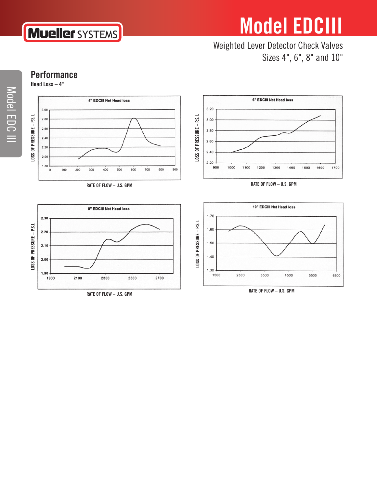### Weighted Lever Detector Check Valves Sizes 4", 6", 8" and 10"

**Performance Head Loss – 4"** 

**Mueller** SYSTEMS







**RATE OF FLOW – U.S. GPM**

1700

1500

1600



**RATE OF FLOW – U.S. GPM**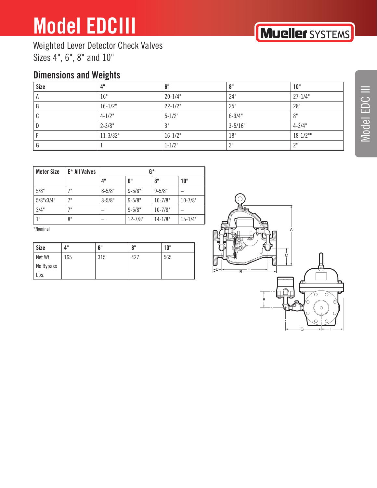Weighted Lever Detector Check Valves Sizes 4", 6", 8" and 10"

### **Dimensions and Weights**

| <b>Size</b> | 4"           | 6"          | 8"          | 10"           |
|-------------|--------------|-------------|-------------|---------------|
|             | 16"          | $20 - 1/4"$ | 24"         | $27 - 1/4"$   |
|             | $16 - 1/2"$  | $22 - 1/2"$ | 25"         | 28"           |
|             | $4 - 1/2"$   | $5 - 1/2$ " | $6 - 3/4"$  | 8"            |
|             | $2 - 3/8"$   | 3"          | $3 - 5/16"$ | $4 - 3/4"$    |
|             | $11 - 3/32"$ | $16 - 1/2"$ | 18"         | $18 - 1/2$ "" |
|             |              | $1 - 1/2"$  | וו ר        | ייר           |

| Meter Size       | E* All Valves | G*         |             |             |             |
|------------------|---------------|------------|-------------|-------------|-------------|
|                  |               | 4"         | 6"          | 8"          | 10"         |
| 5/8"             | 7"            | $8 - 5/8"$ | $9 - 5/8"$  | $9 - 5/8"$  |             |
| $5/8$ "x $3/4$ " | 7"            | $8 - 5/8"$ | $9 - 5/8"$  | $10 - 7/8"$ | $10 - 7/8"$ |
| 3/4"             | 7 !!          |            | $9 - 5/8"$  | $10 - 7/8"$ |             |
| 1 <sup>II</sup>  | 8"            |            | $12 - 7/8"$ | $14 - 1/8"$ | $15 - 1/4"$ |

\*Nominal

| Size      | 4"  | 6"  | 8"  | 10" |
|-----------|-----|-----|-----|-----|
| Net Wt.   | 165 | 315 | 427 | 565 |
| No Bypass |     |     |     |     |
| Lbs.      |     |     |     |     |